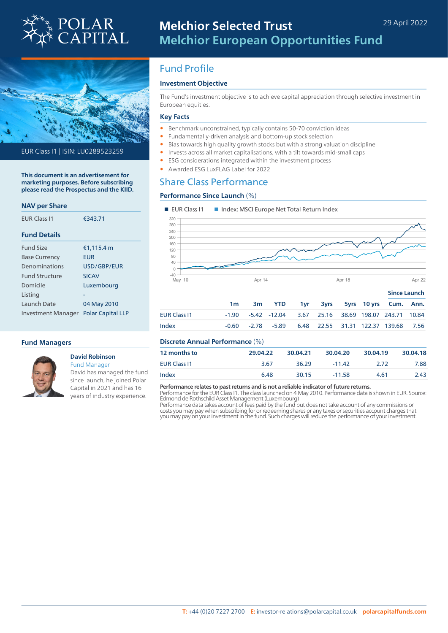



EUR Class I1 | ISIN: LU0289523259

**This document is an advertisement for marketing purposes. Before subscribing please read the Prospectus and the KIID.**

### **NAV per Share**

| <b>FUR Class 11</b>   | €343.71                  |  |  |
|-----------------------|--------------------------|--|--|
| <b>Fund Details</b>   |                          |  |  |
| <b>Fund Size</b>      | €1,115.4 m               |  |  |
| <b>Base Currency</b>  | <b>EUR</b>               |  |  |
| Denominations         | USD/GBP/FUR              |  |  |
| <b>Fund Structure</b> | <b>SICAV</b>             |  |  |
| Domicile              | Luxembourg               |  |  |
| Listing               |                          |  |  |
| Launch Date           | 04 May 2010              |  |  |
| Investment Manager    | <b>Polar Capital LLP</b> |  |  |

### **Fund Managers**



### **David Robinson** Fund Manager

David has managed the fund since launch, he joined Polar Capital in 2021 and has 16 years of industry experience.

# Fund Profile

## **Investment Objective**

The Fund's investment objective is to achieve capital appreciation through selective investment in European equities.

### **Key Facts**

- Benchmark unconstrained, typically contains 50-70 conviction ideas
- Fundamentally-driven analysis and bottom-up stock selection
- Bias towards high quality growth stocks but with a strong valuation discipline
- Invests across all market capitalisations, with a tilt towards mid-small caps
- ESG considerations integrated within the investment process
- Awarded ESG LuxFLAG Label for 2022

### Share Class Performance

### **Performance Since Launch** (%)



### **Discrete Annual Performance** (%)

| <b>12 months to</b> | 29.04.22 | 30.04.21 | 30.04.20 | 30.04.19 | 30.04.18 |
|---------------------|----------|----------|----------|----------|----------|
| <b>EUR Class I1</b> | 3.67     | 36.29    | $-11.42$ | 2.72     | 7.88     |
| Index               | 6.48     | 30.15    | $-11.58$ | 4.61     | 2.43     |

### **Performance relates to past returns and is not a reliable indicator of future returns.**

Performance for the EUR Class I1. The class launched on 4 May 2010. Performance data is shown in EUR. Source: Edmond de Rothschild Asset Management (Luxembourg)

Performance data takes account of fees paid by the fund but does not take account of any commissions or costs you may pay when subscribing for or redeeming shares or any taxes or securities account charges that you may pay on your investment in the fund. Such charges will reduce the performance of your investment.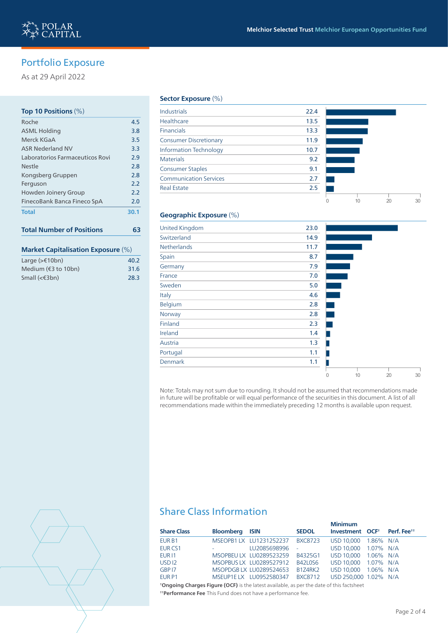# Portfolio Exposure

As at 29 April 2022

## **Top 10 Positions** (%) Roche 4.5 ASML Holding 3.8 Merck KGaA 3.5 ASR Nederland NV 3.3 Laboratorios Farmaceuticos Rovi 2.9 Nestle 2.8 Kongsberg Gruppen 2.8 Ferguson 2.2 Howden Joinery Group 2.2 FinecoBank Banca Fineco SpA 2.0 **Total 30.1**

# **Total Number of Positions 63**

### **Market Capitalisation Exposure** (%)

| Large $(>\epsilon$ 10bn)               | 40.2 |
|----------------------------------------|------|
| Medium $(43 \text{ to } 10 \text{bn})$ | 31.6 |
| Small $(€3bn)$                         | 28.3 |

### **Sector Exposure** (%)

| Industrials                   | 22.4 |  |
|-------------------------------|------|--|
| Healthcare                    | 13.5 |  |
| <b>Financials</b>             | 13.3 |  |
| <b>Consumer Discretionary</b> | 11.9 |  |
| <b>Information Technology</b> | 10.7 |  |
| <b>Materials</b>              | 9.2  |  |
| <b>Consumer Staples</b>       | 9.1  |  |
| <b>Communication Services</b> | 2.7  |  |
| <b>Real Estate</b>            | 2.5  |  |
|                               |      |  |



### **Geographic Exposure** (%)

| <b>United Kingdom</b> | 23.0 |   |    |    |    |
|-----------------------|------|---|----|----|----|
| Switzerland           | 14.9 |   |    |    |    |
| <b>Netherlands</b>    | 11.7 |   |    |    |    |
| Spain                 | 8.7  |   |    |    |    |
| Germany               | 7.9  |   |    |    |    |
| France                | 7.0  |   |    |    |    |
| Sweden                | 5.0  |   |    |    |    |
| Italy                 | 4.6  |   |    |    |    |
| Belgium               | 2.8  |   |    |    |    |
| Norway                | 2.8  |   |    |    |    |
| Finland               | 2.3  |   |    |    |    |
| Ireland               | 1.4  |   |    |    |    |
| Austria               | 1.3  |   |    |    |    |
| Portugal              | 1.1  |   |    |    |    |
| Denmark               | 1.1  |   |    |    |    |
|                       |      | 0 | 10 | 20 | 30 |

Note: Totals may not sum due to rounding. It should not be assumed that recommendations made in future will be profitable or will equal performance of the securities in this document. A list of all recommendations made within the immediately preceding 12 months is available upon request.



# Share Class Information

|              |                                                                                                                                  | <b>Minimum</b>    |                                                                                                                                             |
|--------------|----------------------------------------------------------------------------------------------------------------------------------|-------------------|---------------------------------------------------------------------------------------------------------------------------------------------|
|              | <b>SEDOL</b>                                                                                                                     |                   | Perf. Fee <sup>tt</sup>                                                                                                                     |
|              | <b>BXC8723</b>                                                                                                                   | USD 10,000        |                                                                                                                                             |
| LU2085698996 | $\sim$                                                                                                                           |                   |                                                                                                                                             |
|              | B4325G1                                                                                                                          | USD 10,000        |                                                                                                                                             |
|              | B42L0S6                                                                                                                          |                   |                                                                                                                                             |
|              | B1Z4RK2                                                                                                                          | <b>USD 10.000</b> |                                                                                                                                             |
|              | <b>BXC8712</b>                                                                                                                   |                   |                                                                                                                                             |
|              | <b>Bloomberg ISIN</b><br>MSEOPB1 LX LU1231252237<br>MSOPBEU LX LU0289523259<br>MSOPBUS LX LU0289527912<br>MSOPDGBLX LU0289524653 |                   | Investment OCF <sup>+</sup><br>1.86% N/A<br>USD 10.000 1.07% N/A<br>1.06% N/A<br>USD 10.000 1.07% N/A<br>1.06% N/A<br>USD 250,000 1.02% N/A |

**† Ongoing Charges Figure (OCF)** is the latest available, as per the date of this factsheet **† † Performance Fee** This Fund does not have a performance fee.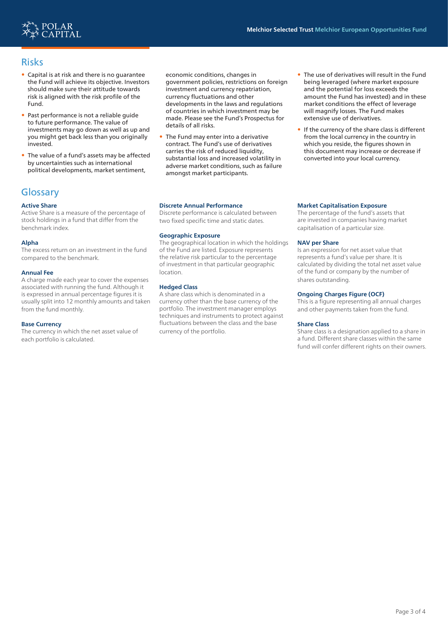

# Risks

- Capital is at risk and there is no guarantee the Fund will achieve its objective. Investors should make sure their attitude towards risk is aligned with the risk profile of the Fund.
- Past performance is not a reliable guide to future performance. The value of investments may go down as well as up and you might get back less than you originally invested.
- The value of a fund's assets may be affected by uncertainties such as international political developments, market sentiment,

# **Glossary**

### **Active Share**

Active Share is a measure of the percentage of stock holdings in a fund that differ from the benchmark index.

### **Alpha**

The excess return on an investment in the fund compared to the benchmark.

### **Annual Fee**

A charge made each year to cover the expenses associated with running the fund. Although it is expressed in annual percentage figures it is usually split into 12 monthly amounts and taken from the fund monthly.

### **Base Currency**

The currency in which the net asset value of each portfolio is calculated.

economic conditions, changes in government policies, restrictions on foreign investment and currency repatriation, currency fluctuations and other developments in the laws and regulations of countries in which investment may be made. Please see the Fund's Prospectus for details of all risks.

• The Fund may enter into a derivative contract. The Fund's use of derivatives carries the risk of reduced liquidity, substantial loss and increased volatility in adverse market conditions, such as failure amongst market participants.

#### **Discrete Annual Performance**

Discrete performance is calculated between two fixed specific time and static dates.

### **Geographic Exposure**

The geographical location in which the holdings of the Fund are listed. Exposure represents the relative risk particular to the percentage of investment in that particular geographic location.

### **Hedged Class**

A share class which is denominated in a currency other than the base currency of the portfolio. The investment manager employs techniques and instruments to protect against fluctuations between the class and the base currency of the portfolio.

- The use of derivatives will result in the Fund being leveraged (where market exposure and the potential for loss exceeds the amount the Fund has invested) and in these market conditions the effect of leverage will magnify losses. The Fund makes extensive use of derivatives.
- If the currency of the share class is different from the local currency in the country in which you reside, the figures shown in this document may increase or decrease if converted into your local currency.

#### **Market Capitalisation Exposure**

The percentage of the fund's assets that are invested in companies having market capitalisation of a particular size.

#### **NAV per Share**

Is an expression for net asset value that represents a fund's value per share. It is calculated by dividing the total net asset value of the fund or company by the number of shares outstanding.

### **Ongoing Charges Figure (OCF)**

This is a figure representing all annual charges and other payments taken from the fund.

#### **Share Class**

Share class is a designation applied to a share in a fund. Different share classes within the same fund will confer different rights on their owners.